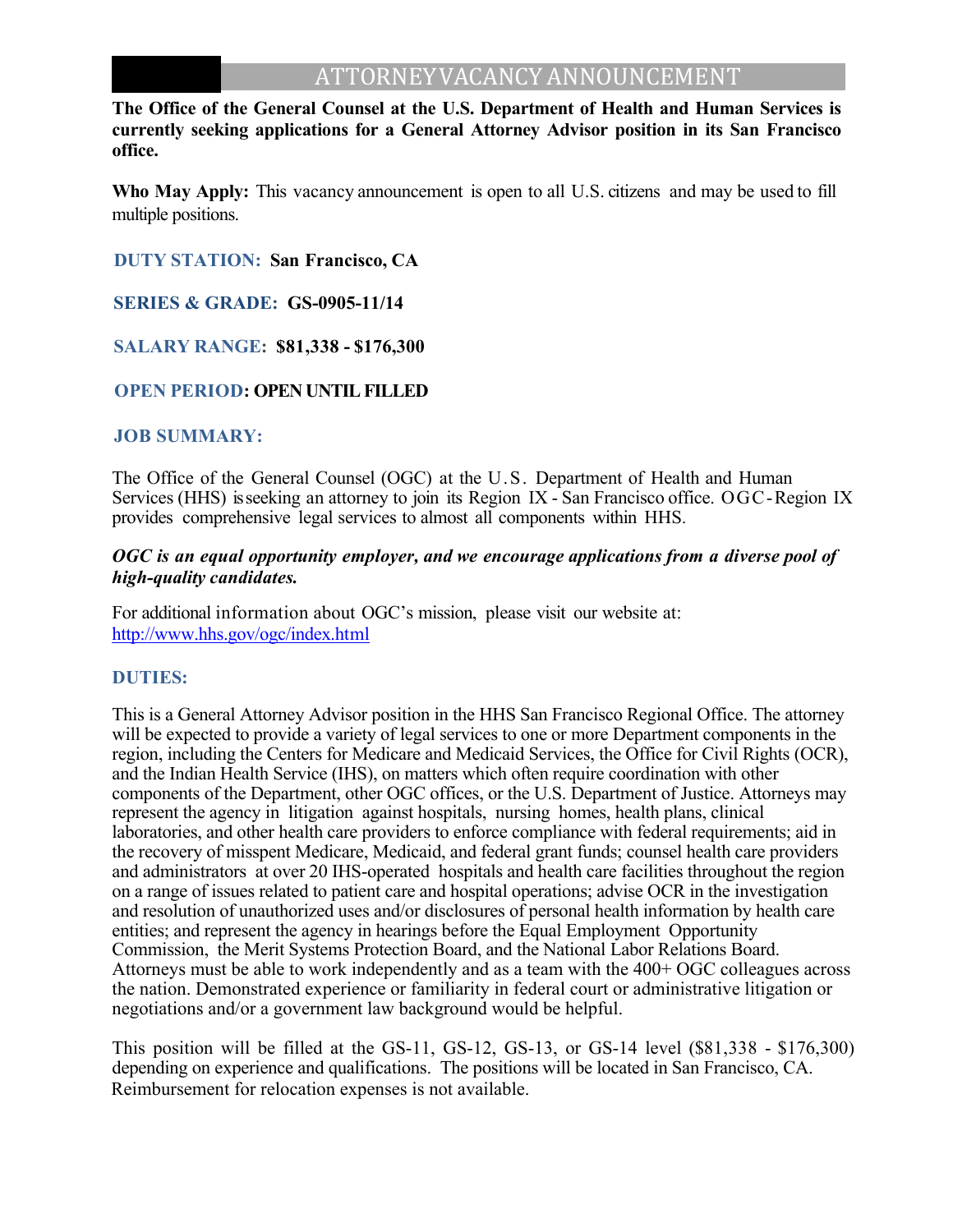## ATTORNEY VACANCY ANNOUNCEMENT

**The Office of the General Counsel at the U.S. Department of Health and Human Services is currently seeking applications for a General Attorney Advisor position in its San Francisco office.**

**Who May Apply:** This vacancy announcement is open to all U.S. citizens and may be used to fill multiple positions.

 **DUTY STATION: San Francisco, CA** 

 **SERIES & GRADE: GS-0905-11/14** 

 **SALARY RANGE: \$81,338 - \$176,300**

#### **OPEN PERIOD: OPEN UNTIL FILLED**

#### **JOB SUMMARY:**

The Office of the General Counsel (OGC) at the U.S. Department of Health and Human Services (HHS) is seeking an attorney to join its Region IX - San Francisco office. OGC-Region IX provides comprehensive legal services to almost all components within HHS.

#### *OGC is an equal opportunity employer, and we encourage applications from a diverse pool of high-quality candidates.*

For additional information about OGC's mission, please visit our website at: http://www.hhs.gov/ogc/index.ht ml

#### **DUTIES:**

This is a General Attorney Advisor position in the HHS San Francisco Regional Office. The attorney will be expected to provide a variety of legal services to one or more Department components in the region, including the Centers for Medicare and Medicaid Services, the Office for Civil Rights (OCR), and the Indian Health Service (IHS), on matters which often require coordination with other components of the Department, other OGC offices, or the U.S. Department of Justice. Attorneys may represent the agency in litigation against hospitals, nursing homes, health plans, clinical laboratories, and other health care providers to enforce compliance with federal requirements; aid in the recovery of misspent Medicare, Medicaid, and federal grant funds; counsel health care providers and administrators at over 20 IHS-operated hospitals and health care facilities throughout the region on a range of issues related to patient care and hospital operations; advise OCR in the investigation and resolution of unauthorized uses and/or disclosures of personal health information by health care entities; and represent the agency in hearings before the Equal Employment Opportunity Commission, the Merit Systems Protection Board, and the National Labor Relations Board. Attorneys must be able to work independently and as a team with the 400+ OGC colleagues across the nation. Demonstrated experience or familiarity in federal court or administrative litigation or negotiations and/or a government law background would be helpful.

This position will be filled at the GS-11, GS-12, GS-13, or GS-14 level (\$81,338 - \$176,300) depending on experience and qualifications. The positions will be located in San Francisco, CA. Reimbursement for relocation expenses is not available.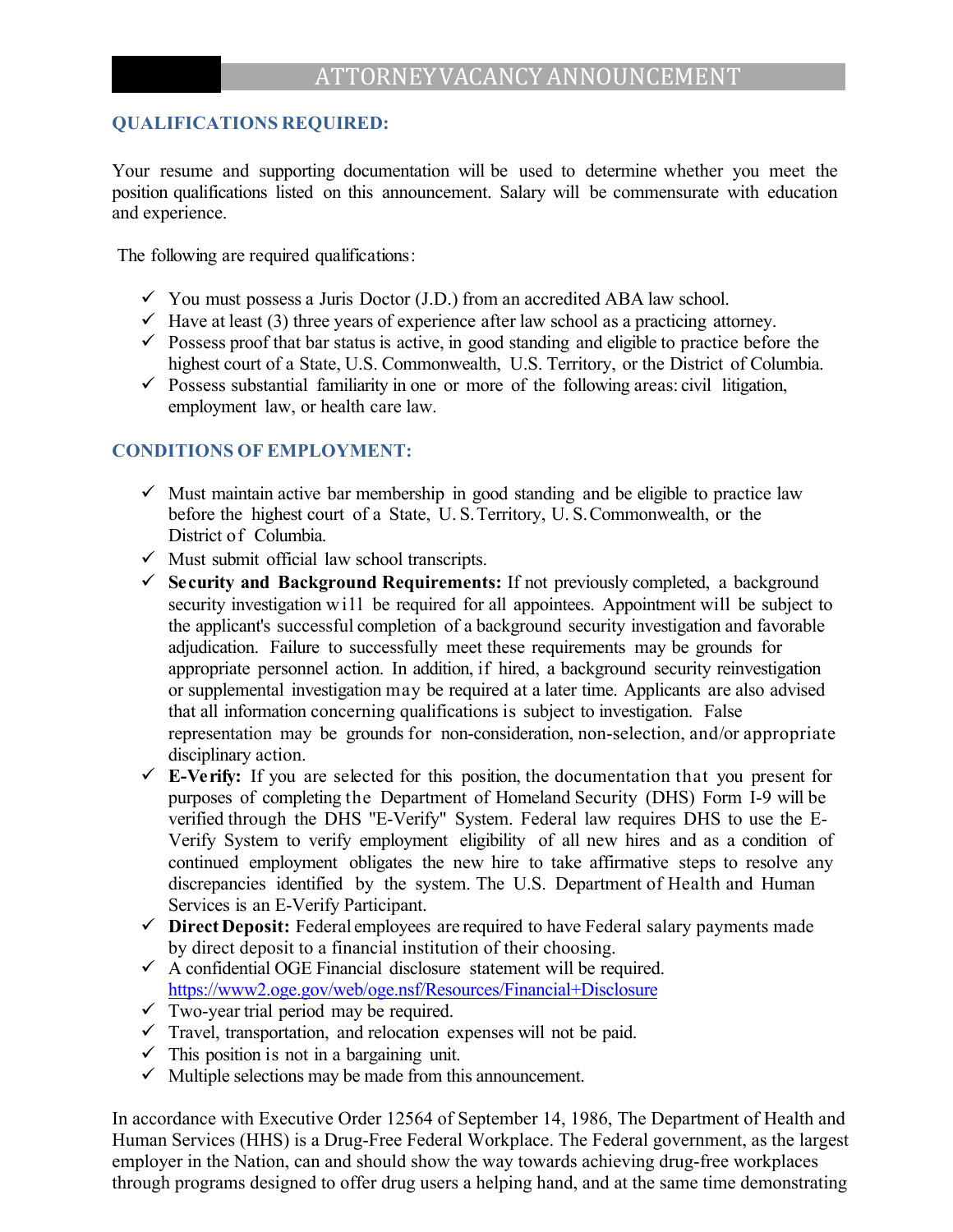### **QUALIFICATIONS REQUIRED:**

Your resume and supporting documentation will be used to determine whether you meet the position qualifications listed on this announcement. Salary will be commensurate with education and experience.

The following are required qualifications:

- $\checkmark$  You must possess a Juris Doctor (J.D.) from an accredited ABA law school.
- $\checkmark$  Have at least (3) three years of experience after law school as a practicing attorney.
- $\checkmark$  Possess proof that bar status is active, in good standing and eligible to practice before the highest court of a State, U.S. Commonwealth, U.S. Territory, or the District of Columbia.
- $\checkmark$  Possess substantial familiarity in one or more of the following areas: civil litigation, employment law, or health care law.

#### **CONDITIONS OF EMPLOYMENT:**

- $\checkmark$  Must maintain active bar membership in good standing and be eligible to practice law before the highest court of a State, U.S. Territory, U.S. Commonwealth, or the District of Columbia.
- $\checkmark$  Must submit official law school transcripts.
- **Security and Background Requirements:** If not previously completed, a background security investigation w ill be required for all appointees. Appointment will be subject to the applicant's successful completion of a background security investigation and favorable adjudication. Failure to successfully meet these requirements may be grounds for appropriate personnel action. In addition, if hired, a background security reinvestigation or supplemental investigation may be required at a later time. Applicants are also advised that all information concerning qualifications is subject to investigation. False representation may be grounds for non-consideration, non-selection, and/or appropriate disciplinary action.
- $\checkmark$  **E-Verify:** If you are selected for this position, the documentation that you present for purposes of completing the Department of Homeland Security (DHS) Form I-9 will be verified through the DHS "E-Verify" System. Federal law requires DHS to use the E-Verify System to verify employment eligibility of all new hires and as a condition of continued employment obligates the new hire to take affirmative steps to resolve any discrepancies identified by the system. The U.S. Department of Health and Human Services is an E-Verify Participant.
- **Direct Deposit:** Federal employees are required to have Federal salary payments made by direct deposit to a financial institution of their choosing.
- $\checkmark$  A confidential OGE Financial disclosure statement will be required. https://www2.oge.gov/web/oge.nsf/Resources/Financial+Disclosure
- $\sqrt{\frac{1}{\text{Two-year trial period may be required}}$ .
- $\checkmark$  Travel, transportation, and relocation expenses will not be paid.
- $\checkmark$  This position is not in a bargaining unit.
- $\checkmark$  Multiple selections may be made from this announcement.

In accordance with Executive Order 12564 of September 14, 1986, The Department of Health and Human Services (HHS) is a Drug-Free Federal Workplace. The Federal government, as the largest employer in the Nation, can and should show the way towards achieving drug-free workplaces through programs designed to offer drug users a helping hand, and at the same time demonstrating